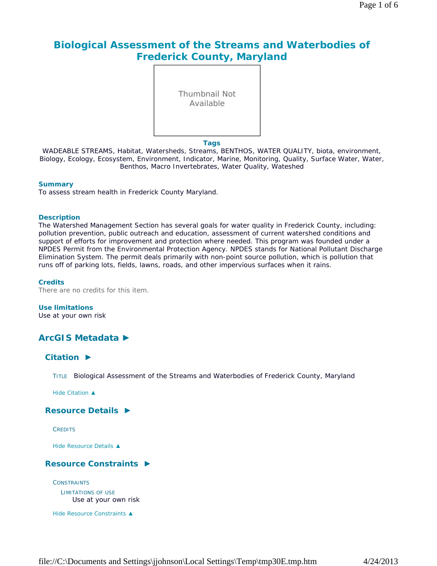# **Biological Assessment of the Streams and Waterbodies of Frederick County, Maryland**

Thumbnail Not Available

#### **Tags**

WADEABLE STREAMS, Habitat, Watersheds, Streams, BENTHOS, WATER QUALITY, biota, environment, Biology, Ecology, Ecosystem, Environment, Indicator, Marine, Monitoring, Quality, Surface Water, Water, Benthos, Macro Invertebrates, Water Quality, Wateshed

#### **Summary**

To assess stream health in Frederick County Maryland.

#### **Description**

The Watershed Management Section has several goals for water quality in Frederick County, including: pollution prevention, public outreach and education, assessment of current watershed conditions and support of efforts for improvement and protection where needed. This program was founded under a NPDES Permit from the Environmental Protection Agency. NPDES stands for National Pollutant Discharge Elimination System. The permit deals primarily with non-point source pollution, which is pollution that runs off of parking lots, fields, lawns, roads, and other impervious surfaces when it rains.

#### **Credits**

There are no credits for this item.

**Use limitations**

Use at your own risk

# **ArcGIS Metadata ►**

### **Citation ►**

TITLE Biological Assessment of the Streams and Waterbodies of Frederick County, Maryland

*Hide Citation ▲*

### **Resource Details ►**

**CPEDITS** 

*Hide Resource Details ▲*

### **Resource Constraints ►**

**CONSTRAINTS** LIMITATIONS OF USE Use at your own risk

*Hide Resource Constraints ▲*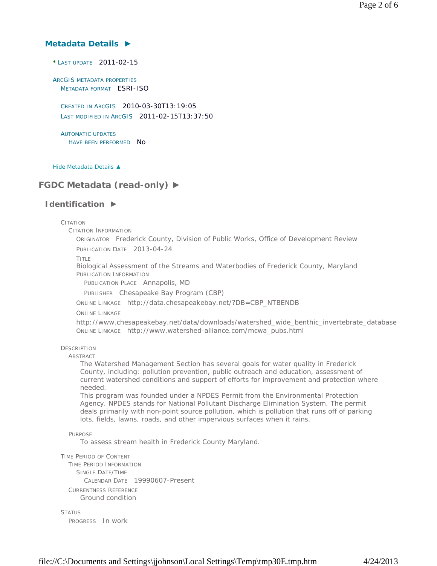### **Metadata Details ►**

**\*** LAST UPDATE 2011-02-15

ARCGIS METADATA PROPERTIES METADATA FORMAT ESRI-ISO

CREATED IN ARCGIS 2010-03-30T13:19:05 LAST MODIFIED IN ARCGIS 2011-02-15T13:37:50

AUTOMATIC UPDATES HAVE BEEN PERFORMED NO

*Hide Metadata Details ▲*

# **FGDC Metadata (read-only) ►**

### **Identification ►**

**CITATION** 

CITATION INFORMATION

ORIGINATOR Frederick County, Division of Public Works, Office of Development Review PUBLICATION DATE 2013-04-24

TITLE

Biological Assessment of the Streams and Waterbodies of Frederick County, Maryland PUBLICATION INFORMATION

PUBLICATION PLACE Annapolis, MD

PUBLISHER Chesapeake Bay Program (CBP)

ONLINE LINKAGE http://data.chesapeakebay.net/?DB=CBP\_NTBENDB

ONLINE LINKAGE

http://www.chesapeakebay.net/data/downloads/watershed\_wide\_benthic\_invertebrate\_database ONLINE LINKAGE http://www.watershed-alliance.com/mcwa\_pubs.html

#### **DESCRIPTION**

ABSTRACT

The Watershed Management Section has several goals for water quality in Frederick County, including: pollution prevention, public outreach and education, assessment of current watershed conditions and support of efforts for improvement and protection where needed.

This program was founded under a NPDES Permit from the Environmental Protection Agency. NPDES stands for National Pollutant Discharge Elimination System. The permit deals primarily with non-point source pollution, which is pollution that runs off of parking lots, fields, lawns, roads, and other impervious surfaces when it rains.

#### PURPOSE

To assess stream health in Frederick County Maryland.

TIME PERIOD OF CONTENT

TIME PERIOD INFORMATION SINGLE DATE/TIME CALENDAR DATE 19990607-Present CURRENTNESS REFERENCE Ground condition

STATUS PROGRESS In work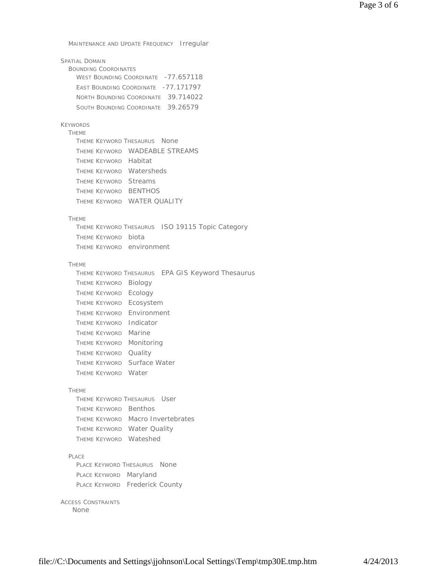MAINTENANCE AND UPDATE FREQUENCY Irregular

| <b>SPATIAL DOMAIN</b><br><b>BOUNDING COORDINATES</b><br>WEST BOUNDING COORDINATE -77.657118 |
|---------------------------------------------------------------------------------------------|
| EAST BOUNDING COORDINATE -77.171797                                                         |
| NORTH BOUNDING COORDINATE 39.714022                                                         |
| SOUTH BOUNDING COORDINATE 39.26579                                                          |
|                                                                                             |
| <b>KEYWORDS</b><br><b>THEME</b>                                                             |
| THEME KEYWORD THESAURUS None                                                                |
| THEME KEYWORD WADEABLE STREAMS                                                              |
| THEME KEYWORD Habitat                                                                       |
| THEME KEYWORD Watersheds                                                                    |
| THEME KEYWORD Streams                                                                       |
| THEME KEYWORD BENTHOS                                                                       |
| THEME KEYWORD WATER QUALITY                                                                 |
|                                                                                             |
| <b>THEME</b><br>THEME KEYWORD THESAURUS ISO 19115 Topic Category                            |
| THEME KEYWORD biota                                                                         |
| THEME KEYWORD environment                                                                   |
|                                                                                             |
| <b>THEME</b>                                                                                |
| THEME KEYWORD THESAURUS EPA GIS Keyword Thesaurus                                           |
| Theme Keyword<br>Biology                                                                    |
| Ecology<br>Theme Keyword                                                                    |
| THEME KEYWORD Ecosystem                                                                     |
| Environment<br>THEME KEYWORD                                                                |
| Indicator<br>THEME KEYWORD                                                                  |
| Marine<br>THEME KEYWORD                                                                     |
| Monitoring<br>THEME KEYWORD                                                                 |
| Quality<br>THEME KEYWORD                                                                    |
| Surface Water<br>THEME KEYWORD                                                              |
| Water<br><b>THEME KEYWORD</b>                                                               |
|                                                                                             |
| <b>THEME</b>                                                                                |
| THEME KEYWORD THESAURUS USEL                                                                |
| THEME KEYWORD Benthos                                                                       |
| THEME KEYWORD Macro Invertebrates                                                           |
| THEME KEYWORD Water Quality                                                                 |
| THEME KEYWORD Wateshed                                                                      |
| PLACE                                                                                       |
| PLACE KEYWORD THESAURUS<br><b>None</b>                                                      |
| PLACE KEYWORD Maryland                                                                      |
| PLACE KEYWORD Frederick County                                                              |
| <b>ACCESS CONSTRAINTS</b><br>None                                                           |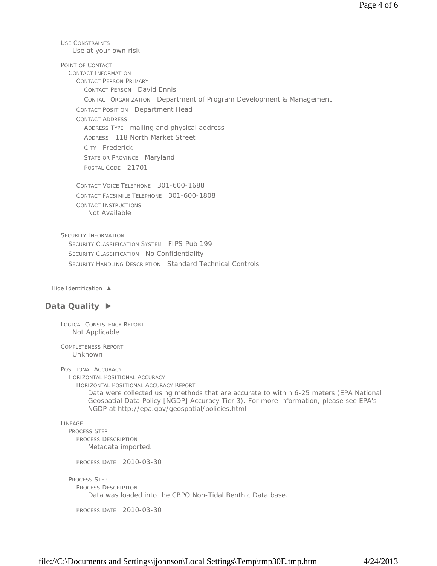USE CONSTRAINTS POINT OF CONTACT CONTACT INFORMATION CONTACT PERSON PRIMARY CONTACT PERSON David Ennis CONTACT ORGANIZATION Department of Program Development & Management CONTACT POSITION Department Head CONTACT ADDRESS ADDRESS TYPE mailing and physical address ADDRESS 118 North Market Street CITY Frederick STATE OR PROVINCE Maryland POSTAL CODE 21701 CONTACT VOICE TELEPHONE 301-600-1688 CONTACT FACSIMILE TELEPHONE 301-600-1808 CONTACT INSTRUCTIONS SECURITY INFORMATION SECURITY CLASSIFICATION SYSTEM FIPS Pub 199 SECURITY CLASSIFICATION No Confidentiality SECURITY HANDLING DESCRIPTION Standard Technical Controls *Hide Identification ▲* **Data Quality ►** LOGICAL CONSISTENCY REPORT COMPLETENESS REPORT POSITIONAL ACCURACY HORIZONTAL POSITIONAL ACCURACY HORIZONTAL POSITIONAL ACCURACY REPORT Use at your own risk Not Available Not Applicable Unknown Data were collected using methods that are accurate to within 6-25 meters (EPA National Geospatial Data Policy [NGDP] Accuracy Tier 3). For more information, please see EPA's

```
LINEAGE
```
PROCESS STEP PROCESS DESCRIPTION Metadata imported.

PROCESS DATE 2010-03-30

```
PROCESS STEP
```

```
PROCESS DESCRIPTION
```
Data was loaded into the CBPO Non-Tidal Benthic Data base.

NGDP at http://epa.gov/geospatial/policies.html

PROCESS DATE 2010-03-30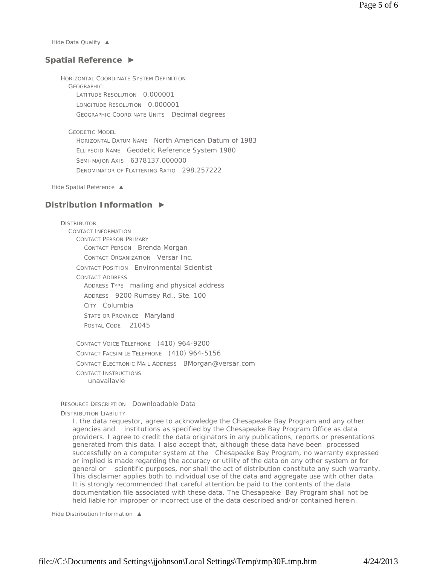*Hide Data Quality ▲*

### **Spatial Reference ►**

HORIZONTAL COORDINATE SYSTEM DEFINITION **GEOGRAPHIC** LATITUDE RESOLUTION 0.000001 LONGITUDE RESOLUTION 0.000001 GEOGRAPHIC COORDINATE UNITS Decimal degrees

GEODETIC MODEL

HORIZONTAL DATUM NAME North American Datum of 1983 ELLIPSOID NAME Geodetic Reference System 1980 SEMI-MAJOR AXIS 6378137.000000 DENOMINATOR OF FLATTENING RATIO 298.257222

*Hide Spatial Reference ▲*

### **Distribution Information ►**

DISTRIBUTOR CONTACT INFORMATION CONTACT PERSON PRIMARY CONTACT PERSON Brenda Morgan CONTACT ORGANIZATION Versar Inc. CONTACT POSITION Environmental Scientist CONTACT ADDRESS ADDRESS TYPE mailing and physical address ADDRESS 9200 Rumsey Rd., Ste. 100 CITY Columbia STATE OR PROVINCE Maryland POSTAL CODE 21045

CONTACT VOICE TELEPHONE (410) 964-9200 CONTACT FACSIMILE TELEPHONE (410) 964-5156 CONTACT ELECTRONIC MAIL ADDRESS BMorgan@versar.com CONTACT INSTRUCTIONS unavailavle

RESOURCE DESCRIPTION Downloadable Data DISTRIBUTION LIABILITY

I, the data requestor, agree to acknowledge the Chesapeake Bay Program and any other agencies and institutions as specified by the Chesapeake Bay Program Office as data providers. I agree to credit the data originators in any publications, reports or presentations generated from this data. I also accept that, although these data have been processed successfully on a computer system at the Chesapeake Bay Program, no warranty expressed or implied is made regarding the accuracy or utility of the data on any other system or for general or scientific purposes, nor shall the act of distribution constitute any such warranty. This disclaimer applies both to individual use of the data and aggregate use with other data. It is strongly recommended that careful attention be paid to the contents of the data documentation file associated with these data. The Chesapeake Bay Program shall not be held liable for improper or incorrect use of the data described and/or contained herein.

*Hide Distribution Information ▲*